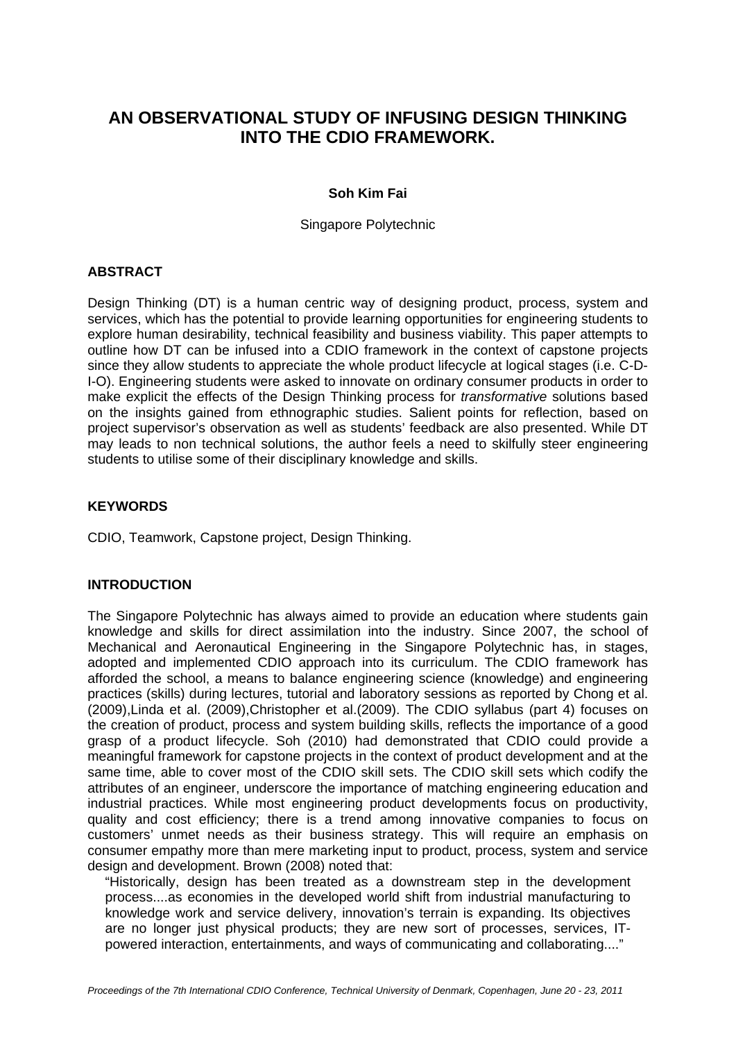# **AN OBSERVATIONAL STUDY OF INFUSING DESIGN THINKING INTO THE CDIO FRAMEWORK.**

#### **Soh Kim Fai**

Singapore Polytechnic

### **ABSTRACT**

Design Thinking (DT) is a human centric way of designing product, process, system and services, which has the potential to provide learning opportunities for engineering students to explore human desirability, technical feasibility and business viability. This paper attempts to outline how DT can be infused into a CDIO framework in the context of capstone projects since they allow students to appreciate the whole product lifecycle at logical stages (i.e. C-D-I-O). Engineering students were asked to innovate on ordinary consumer products in order to make explicit the effects of the Design Thinking process for *transformative* solutions based on the insights gained from ethnographic studies. Salient points for reflection, based on project supervisor's observation as well as students' feedback are also presented. While DT may leads to non technical solutions, the author feels a need to skilfully steer engineering students to utilise some of their disciplinary knowledge and skills.

### **KEYWORDS**

CDIO, Teamwork, Capstone project, Design Thinking.

#### **INTRODUCTION**

The Singapore Polytechnic has always aimed to provide an education where students gain knowledge and skills for direct assimilation into the industry. Since 2007, the school of Mechanical and Aeronautical Engineering in the Singapore Polytechnic has, in stages, adopted and implemented CDIO approach into its curriculum. The CDIO framework has afforded the school, a means to balance engineering science (knowledge) and engineering practices (skills) during lectures, tutorial and laboratory sessions as reported by Chong et al. (2009),Linda et al. (2009),Christopher et al.(2009). The CDIO syllabus (part 4) focuses on the creation of product, process and system building skills, reflects the importance of a good grasp of a product lifecycle. Soh (2010) had demonstrated that CDIO could provide a meaningful framework for capstone projects in the context of product development and at the same time, able to cover most of the CDIO skill sets. The CDIO skill sets which codify the attributes of an engineer, underscore the importance of matching engineering education and industrial practices. While most engineering product developments focus on productivity, quality and cost efficiency; there is a trend among innovative companies to focus on customers' unmet needs as their business strategy. This will require an emphasis on consumer empathy more than mere marketing input to product, process, system and service design and development. Brown (2008) noted that:

"Historically, design has been treated as a downstream step in the development process....as economies in the developed world shift from industrial manufacturing to knowledge work and service delivery, innovation's terrain is expanding. Its objectives are no longer just physical products; they are new sort of processes, services, ITpowered interaction, entertainments, and ways of communicating and collaborating...."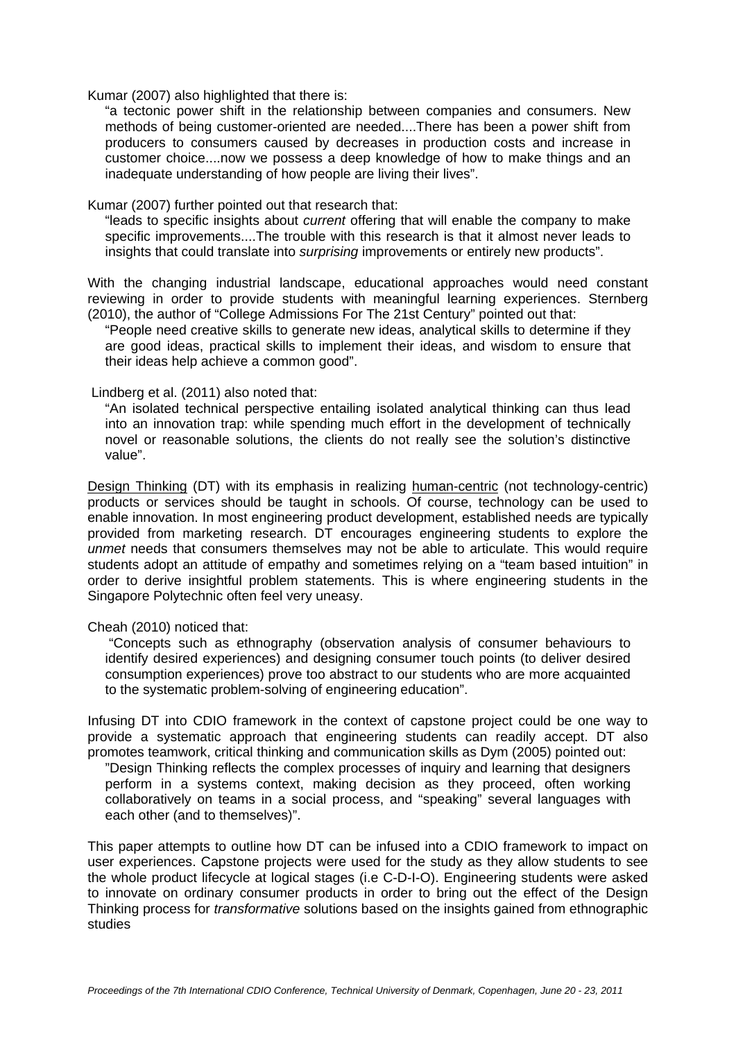Kumar (2007) also highlighted that there is:

"a tectonic power shift in the relationship between companies and consumers. New methods of being customer-oriented are needed....There has been a power shift from producers to consumers caused by decreases in production costs and increase in customer choice....now we possess a deep knowledge of how to make things and an inadequate understanding of how people are living their lives".

Kumar (2007) further pointed out that research that:

"leads to specific insights about *current* offering that will enable the company to make specific improvements....The trouble with this research is that it almost never leads to insights that could translate into *surprising* improvements or entirely new products".

With the changing industrial landscape, educational approaches would need constant reviewing in order to provide students with meaningful learning experiences. Sternberg (2010), the author of "College Admissions For The 21st Century" pointed out that:

"People need creative skills to generate new ideas, analytical skills to determine if they are good ideas, practical skills to implement their ideas, and wisdom to ensure that their ideas help achieve a common good".

#### Lindberg et al. (2011) also noted that:

"An isolated technical perspective entailing isolated analytical thinking can thus lead into an innovation trap: while spending much effort in the development of technically novel or reasonable solutions, the clients do not really see the solution's distinctive value".

Design Thinking (DT) with its emphasis in realizing human-centric (not technology-centric) products or services should be taught in schools. Of course, technology can be used to enable innovation. In most engineering product development, established needs are typically provided from marketing research. DT encourages engineering students to explore the *unmet* needs that consumers themselves may not be able to articulate. This would require students adopt an attitude of empathy and sometimes relying on a "team based intuition" in order to derive insightful problem statements. This is where engineering students in the Singapore Polytechnic often feel very uneasy.

#### Cheah (2010) noticed that:

 "Concepts such as ethnography (observation analysis of consumer behaviours to identify desired experiences) and designing consumer touch points (to deliver desired consumption experiences) prove too abstract to our students who are more acquainted to the systematic problem-solving of engineering education".

Infusing DT into CDIO framework in the context of capstone project could be one way to provide a systematic approach that engineering students can readily accept. DT also promotes teamwork, critical thinking and communication skills as Dym (2005) pointed out:

"Design Thinking reflects the complex processes of inquiry and learning that designers perform in a systems context, making decision as they proceed, often working collaboratively on teams in a social process, and "speaking" several languages with each other (and to themselves)".

This paper attempts to outline how DT can be infused into a CDIO framework to impact on user experiences. Capstone projects were used for the study as they allow students to see the whole product lifecycle at logical stages (i.e C-D-I-O). Engineering students were asked to innovate on ordinary consumer products in order to bring out the effect of the Design Thinking process for *transformative* solutions based on the insights gained from ethnographic studies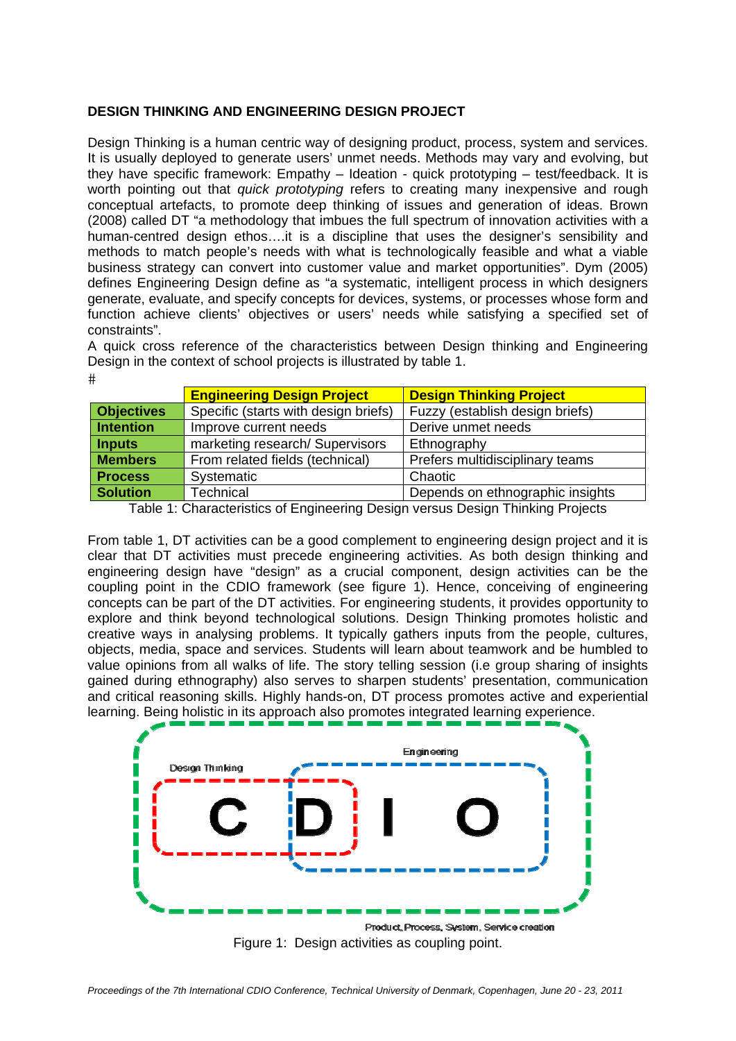#### **DESIGN THINKING AND ENGINEERING DESIGN PROJECT**

Design Thinking is a human centric way of designing product, process, system and services. It is usually deployed to generate users' unmet needs. Methods may vary and evolving, but they have specific framework: Empathy – Ideation - quick prototyping – test/feedback. It is worth pointing out that *quick prototyping* refers to creating many inexpensive and rough conceptual artefacts, to promote deep thinking of issues and generation of ideas. Brown (2008) called DT "a methodology that imbues the full spectrum of innovation activities with a human-centred design ethos….it is a discipline that uses the designer's sensibility and methods to match people's needs with what is technologically feasible and what a viable business strategy can convert into customer value and market opportunities". Dym (2005) defines Engineering Design define as "a systematic, intelligent process in which designers generate, evaluate, and specify concepts for devices, systems, or processes whose form and function achieve clients' objectives or users' needs while satisfying a specified set of constraints".

A quick cross reference of the characteristics between Design thinking and Engineering Design in the context of school projects is illustrated by table 1.  $#$ 

|                   | <b>Engineering Design Project</b>    | <b>Design Thinking Project</b>   |
|-------------------|--------------------------------------|----------------------------------|
| <b>Objectives</b> | Specific (starts with design briefs) | Fuzzy (establish design briefs)  |
| <b>Intention</b>  | Improve current needs                | Derive unmet needs               |
| <b>Inputs</b>     | marketing research/ Supervisors      | Ethnography                      |
| <b>Members</b>    | From related fields (technical)      | Prefers multidisciplinary teams  |
| <b>Process</b>    | Systematic                           | Chaotic                          |
| <b>Solution</b>   | <b>Technical</b>                     | Depends on ethnographic insights |

Table 1: Characteristics of Engineering Design versus Design Thinking Projects

From table 1, DT activities can be a good complement to engineering design project and it is clear that DT activities must precede engineering activities. As both design thinking and engineering design have "design" as a crucial component, design activities can be the coupling point in the CDIO framework (see figure 1). Hence, conceiving of engineering concepts can be part of the DT activities. For engineering students, it provides opportunity to explore and think beyond technological solutions. Design Thinking promotes holistic and creative ways in analysing problems. It typically gathers inputs from the people, cultures, objects, media, space and services. Students will learn about teamwork and be humbled to value opinions from all walks of life. The story telling session (i.e group sharing of insights gained during ethnography) also serves to sharpen students' presentation, communication and critical reasoning skills. Highly hands-on, DT process promotes active and experiential learning. Being holistic in its approach also promotes integrated learning experience.



Figure 1: Design activities as coupling point.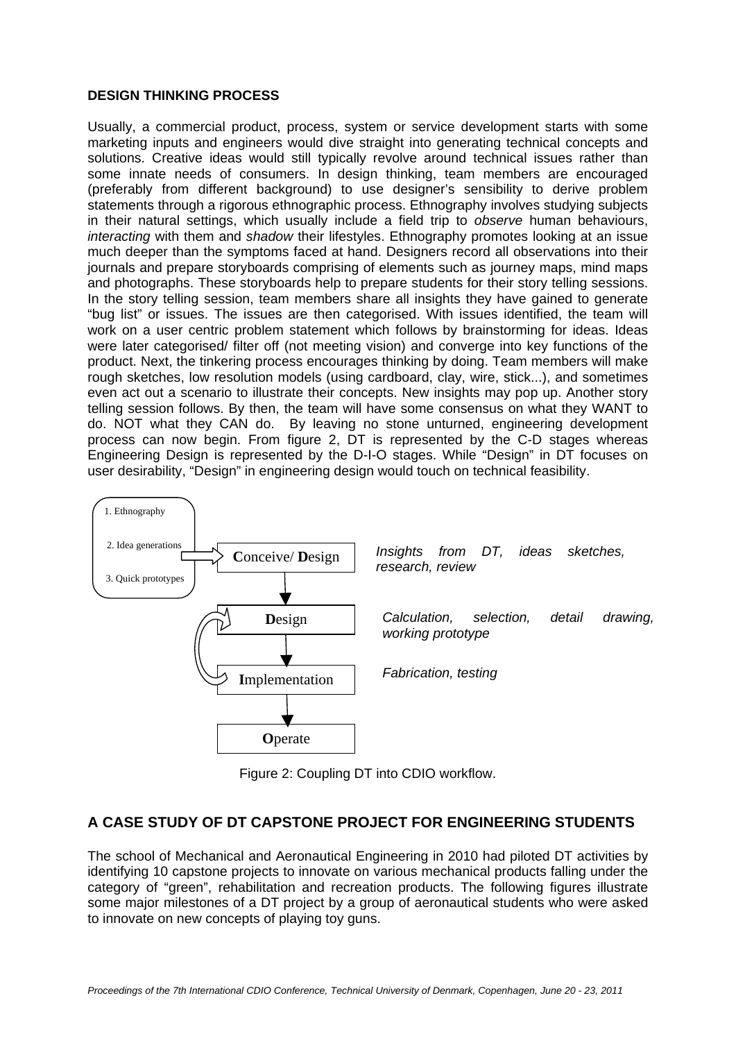#### **DESIGN THINKING PROCESS**

Usually, a commercial product, process, system or service development starts with some marketing inputs and engineers would dive straight into generating technical concepts and solutions. Creative ideas would still typically revolve around technical issues rather than some innate needs of consumers. In design thinking, team members are encouraged (preferably from different background) to use designer's sensibility to derive problem statements through a rigorous ethnographic process. Ethnography involves studying subjects in their natural settings, which usually include a field trip to *observe* human behaviours, *interacting* with them and *shadow* their lifestyles. Ethnography promotes looking at an issue much deeper than the symptoms faced at hand. Designers record all observations into their journals and prepare storyboards comprising of elements such as journey maps, mind maps and photographs. These storyboards help to prepare students for their story telling sessions. In the story telling session, team members share all insights they have gained to generate "bug list" or issues. The issues are then categorised. With issues identified, the team will work on a user centric problem statement which follows by brainstorming for ideas. Ideas were later categorised/ filter off (not meeting vision) and converge into key functions of the product. Next, the tinkering process encourages thinking by doing. Team members will make rough sketches, low resolution models (using cardboard, clay, wire, stick...), and sometimes even act out a scenario to illustrate their concepts. New insights may pop up. Another story telling session follows. By then, the team will have some consensus on what they WANT to do. NOT what they CAN do. By leaving no stone unturned, engineering development process can now begin. From figure 2, DT is represented by the C-D stages whereas Engineering Design is represented by the D-I-O stages. While "Design" in DT focuses on user desirability, "Design" in engineering design would touch on technical feasibility.



Figure 2: Coupling DT into CDIO workflow.

# **A CASE STUDY OF DT CAPSTONE PROJECT FOR ENGINEERING STUDENTS**

The school of Mechanical and Aeronautical Engineering in 2010 had piloted DT activities by identifying 10 capstone projects to innovate on various mechanical products falling under the category of "green", rehabilitation and recreation products. The following figures illustrate some major milestones of a DT project by a group of aeronautical students who were asked to innovate on new concepts of playing toy guns.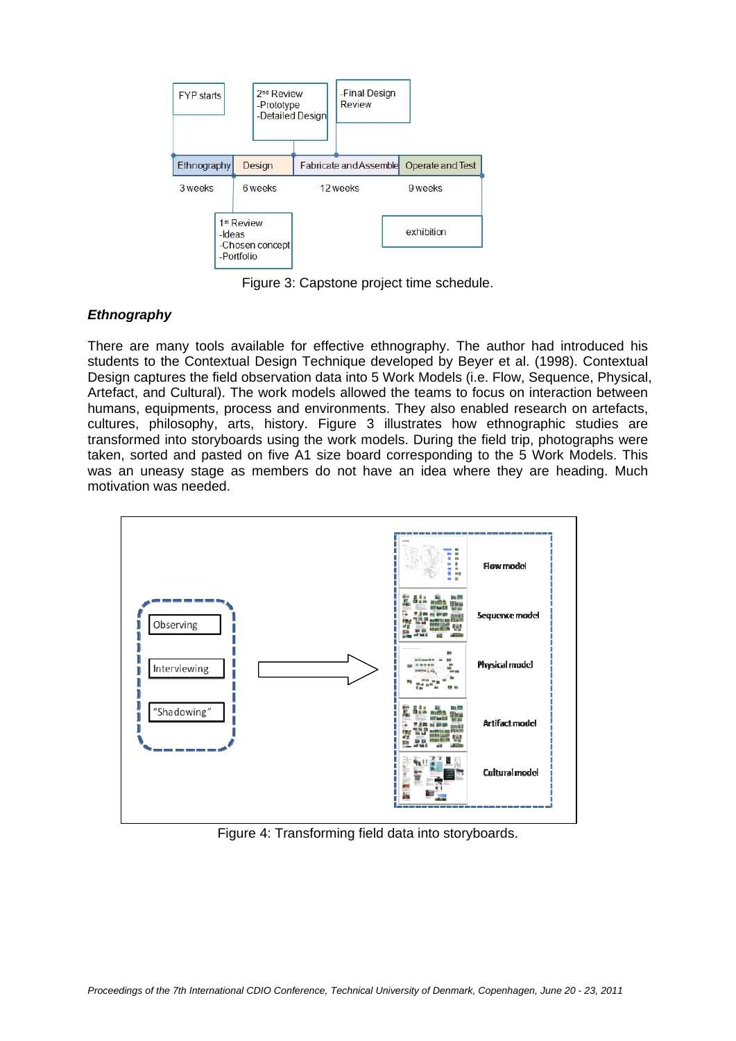

Figure 3: Capstone project time schedule.

#### *Ethnography*

There are many tools available for effective ethnography. The author had introduced his students to the Contextual Design Technique developed by Beyer et al. (1998). Contextual Design captures the field observation data into 5 Work Models (i.e. Flow, Sequence, Physical, Artefact, and Cultural). The work models allowed the teams to focus on interaction between humans, equipments, process and environments. They also enabled research on artefacts, cultures, philosophy, arts, history. Figure 3 illustrates how ethnographic studies are transformed into storyboards using the work models. During the field trip, photographs were taken, sorted and pasted on five A1 size board corresponding to the 5 Work Models. This was an uneasy stage as members do not have an idea where they are heading. Much motivation was needed.



Figure 4: Transforming field data into storyboards.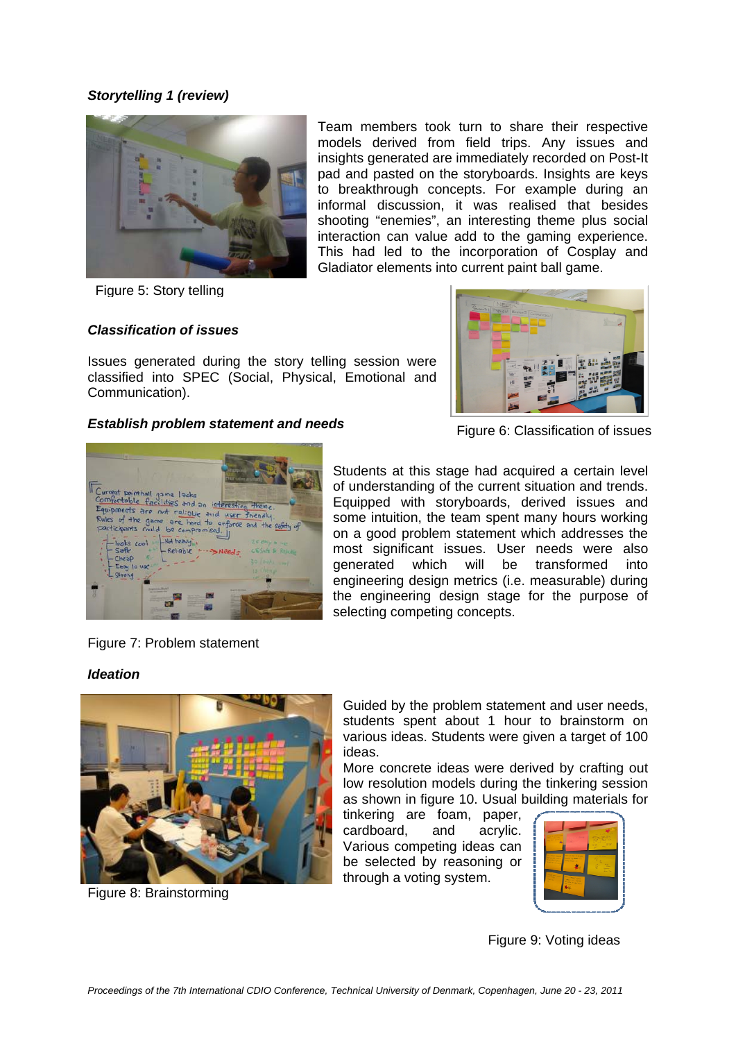#### *Storytelling 1 (review)*



Figure 5: Story telling

### *Classification of issues*

Issues generated during the story telling session were classified into SPEC (Social, Physical, Emotional and Communication).

#### *Establish problem statement and needs*



Figure 6: Classification of issues



Students at this stage had acquired a certain level of understanding of the current situation and trends. Equipped with storyboards, derived issues and some intuition, the team spent many hours working on a good problem statement which addresses the most significant issues. User needs were also generated which will be transformed into engineering design metrics (i.e. measurable) during the engineering design stage for the purpose of selecting competing concepts.

Team members took turn to share their respective models derived from field trips. Any issues and insights generated are immediately recorded on Post-It pad and pasted on the storyboards. Insights are keys to breakthrough concepts. For example during an informal discussion, it was realised that besides shooting "enemies", an interesting theme plus social interaction can value add to the gaming experience. This had led to the incorporation of Cosplay and

# Figure 7: Problem statement

#### *Ideation*



Figure 8: Brainstorming

Guided by the problem statement and user needs, students spent about 1 hour to brainstorm on various ideas. Students were given a target of 100 ideas.

More concrete ideas were derived by crafting out low resolution models during the tinkering session as shown in figure 10. Usual building materials for

tinkering are foam, paper, cardboard, and acrylic. Various competing ideas can be selected by reasoning or through a voting system.



Figure 9: Voting ideas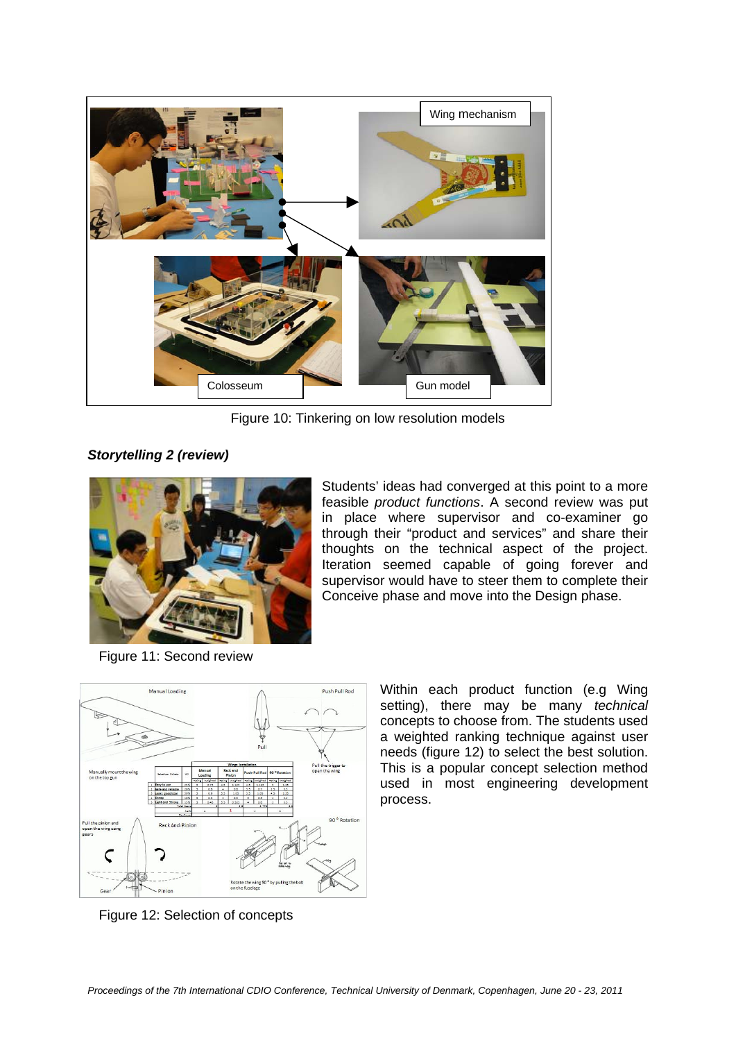

Figure 10: Tinkering on low resolution models

*Storytelling 2 (review)*



Figure 11: Second review

Students' ideas had converged at this point to a more feasible *product functions*. A second review was put in place where supervisor and co-examiner go through their "product and services" and share their thoughts on the technical aspect of the project. Iteration seemed capable of going forever and supervisor would have to steer them to complete their Conceive phase and move into the Design phase.



Figure 12: Selection of concepts

Within each product function (e.g Wing setting), there may be many *technical* concepts to choose from. The students used a weighted ranking technique against user needs (figure 12) to select the best solution. This is a popular concept selection method used in most engineering development process.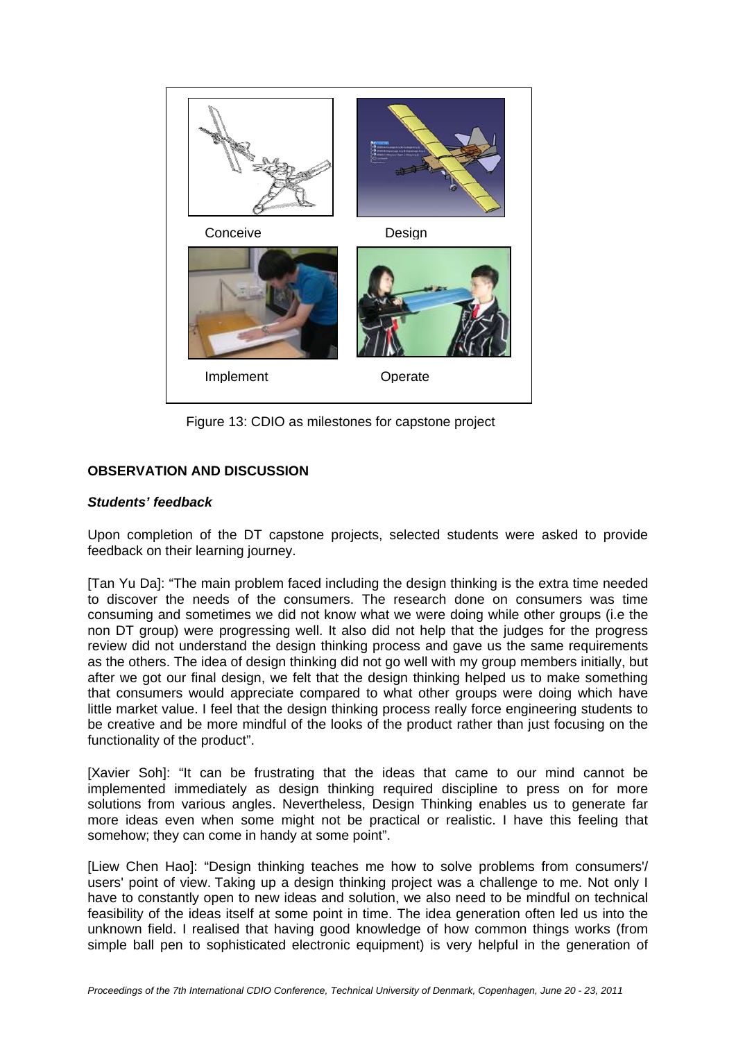

Figure 13: CDIO as milestones for capstone project

# **OBSERVATION AND DISCUSSION**

#### *Students' feedback*

Upon completion of the DT capstone projects, selected students were asked to provide feedback on their learning journey.

[Tan Yu Da]: "The main problem faced including the design thinking is the extra time needed to discover the needs of the consumers. The research done on consumers was time consuming and sometimes we did not know what we were doing while other groups (i.e the non DT group) were progressing well. It also did not help that the judges for the progress review did not understand the design thinking process and gave us the same requirements as the others. The idea of design thinking did not go well with my group members initially, but after we got our final design, we felt that the design thinking helped us to make something that consumers would appreciate compared to what other groups were doing which have little market value. I feel that the design thinking process really force engineering students to be creative and be more mindful of the looks of the product rather than just focusing on the functionality of the product".

[Xavier Soh]: "It can be frustrating that the ideas that came to our mind cannot be implemented immediately as design thinking required discipline to press on for more solutions from various angles. Nevertheless, Design Thinking enables us to generate far more ideas even when some might not be practical or realistic. I have this feeling that somehow; they can come in handy at some point".

[Liew Chen Hao]: "Design thinking teaches me how to solve problems from consumers'/ users' point of view. Taking up a design thinking project was a challenge to me. Not only I have to constantly open to new ideas and solution, we also need to be mindful on technical feasibility of the ideas itself at some point in time. The idea generation often led us into the unknown field. I realised that having good knowledge of how common things works (from simple ball pen to sophisticated electronic equipment) is very helpful in the generation of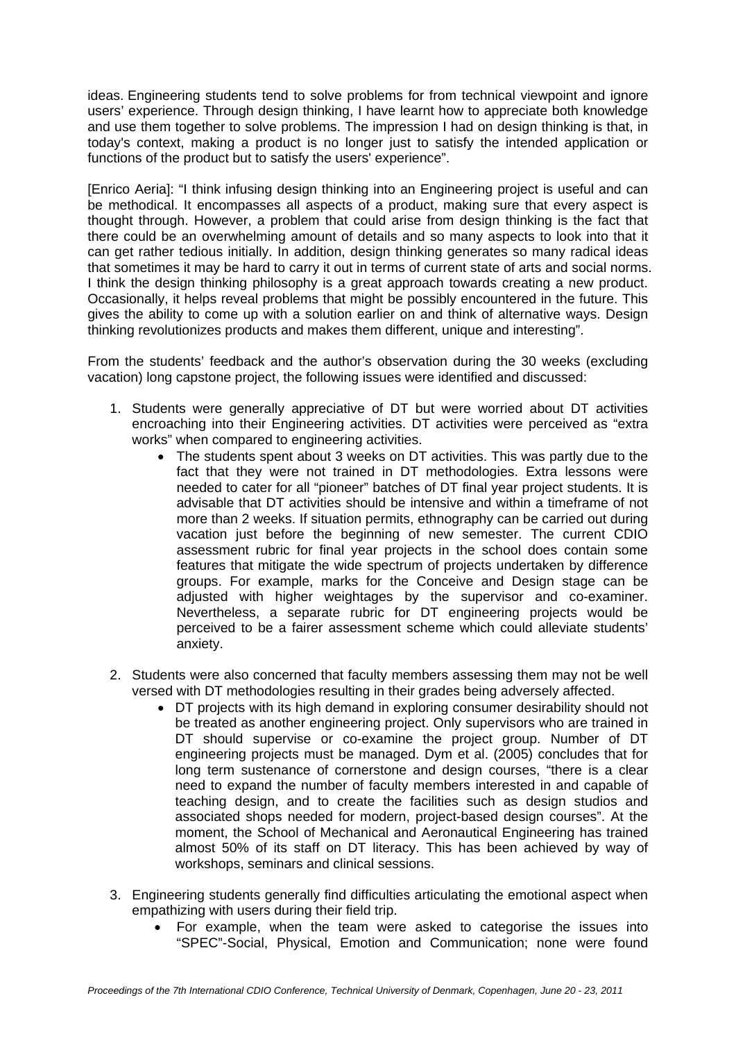ideas. Engineering students tend to solve problems for from technical viewpoint and ignore users' experience. Through design thinking, I have learnt how to appreciate both knowledge and use them together to solve problems. The impression I had on design thinking is that, in today's context, making a product is no longer just to satisfy the intended application or functions of the product but to satisfy the users' experience".

[Enrico Aeria]: "I think infusing design thinking into an Engineering project is useful and can be methodical. It encompasses all aspects of a product, making sure that every aspect is thought through. However, a problem that could arise from design thinking is the fact that there could be an overwhelming amount of details and so many aspects to look into that it can get rather tedious initially. In addition, design thinking generates so many radical ideas that sometimes it may be hard to carry it out in terms of current state of arts and social norms. I think the design thinking philosophy is a great approach towards creating a new product. Occasionally, it helps reveal problems that might be possibly encountered in the future. This gives the ability to come up with a solution earlier on and think of alternative ways. Design thinking revolutionizes products and makes them different, unique and interesting".

From the students' feedback and the author's observation during the 30 weeks (excluding vacation) long capstone project, the following issues were identified and discussed:

- 1. Students were generally appreciative of DT but were worried about DT activities encroaching into their Engineering activities. DT activities were perceived as "extra works" when compared to engineering activities.
	- The students spent about 3 weeks on DT activities. This was partly due to the fact that they were not trained in DT methodologies. Extra lessons were needed to cater for all "pioneer" batches of DT final year project students. It is advisable that DT activities should be intensive and within a timeframe of not more than 2 weeks. If situation permits, ethnography can be carried out during vacation just before the beginning of new semester. The current CDIO assessment rubric for final year projects in the school does contain some features that mitigate the wide spectrum of projects undertaken by difference groups. For example, marks for the Conceive and Design stage can be adjusted with higher weightages by the supervisor and co-examiner. Nevertheless, a separate rubric for DT engineering projects would be perceived to be a fairer assessment scheme which could alleviate students' anxiety.
- 2. Students were also concerned that faculty members assessing them may not be well versed with DT methodologies resulting in their grades being adversely affected.
	- DT projects with its high demand in exploring consumer desirability should not be treated as another engineering project. Only supervisors who are trained in DT should supervise or co-examine the project group. Number of DT engineering projects must be managed. Dym et al. (2005) concludes that for long term sustenance of cornerstone and design courses, "there is a clear need to expand the number of faculty members interested in and capable of teaching design, and to create the facilities such as design studios and associated shops needed for modern, project-based design courses". At the moment, the School of Mechanical and Aeronautical Engineering has trained almost 50% of its staff on DT literacy. This has been achieved by way of workshops, seminars and clinical sessions.
- 3. Engineering students generally find difficulties articulating the emotional aspect when empathizing with users during their field trip.
	- For example, when the team were asked to categorise the issues into "SPEC"-Social, Physical, Emotion and Communication; none were found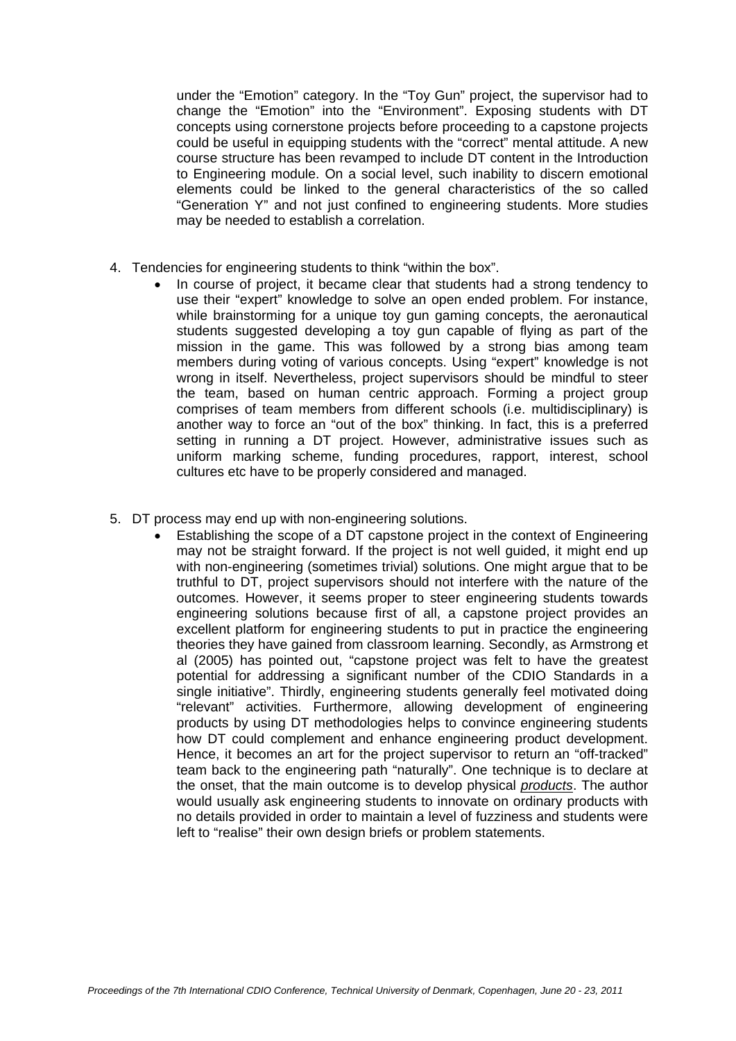under the "Emotion" category. In the "Toy Gun" project, the supervisor had to change the "Emotion" into the "Environment". Exposing students with DT concepts using cornerstone projects before proceeding to a capstone projects could be useful in equipping students with the "correct" mental attitude. A new course structure has been revamped to include DT content in the Introduction to Engineering module. On a social level, such inability to discern emotional elements could be linked to the general characteristics of the so called "Generation Y" and not just confined to engineering students. More studies may be needed to establish a correlation.

- 4. Tendencies for engineering students to think "within the box".
	- In course of project, it became clear that students had a strong tendency to use their "expert" knowledge to solve an open ended problem. For instance, while brainstorming for a unique toy gun gaming concepts, the aeronautical students suggested developing a toy gun capable of flying as part of the mission in the game. This was followed by a strong bias among team members during voting of various concepts. Using "expert" knowledge is not wrong in itself. Nevertheless, project supervisors should be mindful to steer the team, based on human centric approach. Forming a project group comprises of team members from different schools (i.e. multidisciplinary) is another way to force an "out of the box" thinking. In fact, this is a preferred setting in running a DT project. However, administrative issues such as uniform marking scheme, funding procedures, rapport, interest, school cultures etc have to be properly considered and managed.
- 5. DT process may end up with non-engineering solutions.
	- Establishing the scope of a DT capstone project in the context of Engineering may not be straight forward. If the project is not well guided, it might end up with non-engineering (sometimes trivial) solutions. One might argue that to be truthful to DT, project supervisors should not interfere with the nature of the outcomes. However, it seems proper to steer engineering students towards engineering solutions because first of all, a capstone project provides an excellent platform for engineering students to put in practice the engineering theories they have gained from classroom learning. Secondly, as Armstrong et al (2005) has pointed out, "capstone project was felt to have the greatest potential for addressing a significant number of the CDIO Standards in a single initiative". Thirdly, engineering students generally feel motivated doing "relevant" activities. Furthermore, allowing development of engineering products by using DT methodologies helps to convince engineering students how DT could complement and enhance engineering product development. Hence, it becomes an art for the project supervisor to return an "off-tracked" team back to the engineering path "naturally". One technique is to declare at the onset, that the main outcome is to develop physical *products*. The author would usually ask engineering students to innovate on ordinary products with no details provided in order to maintain a level of fuzziness and students were left to "realise" their own design briefs or problem statements.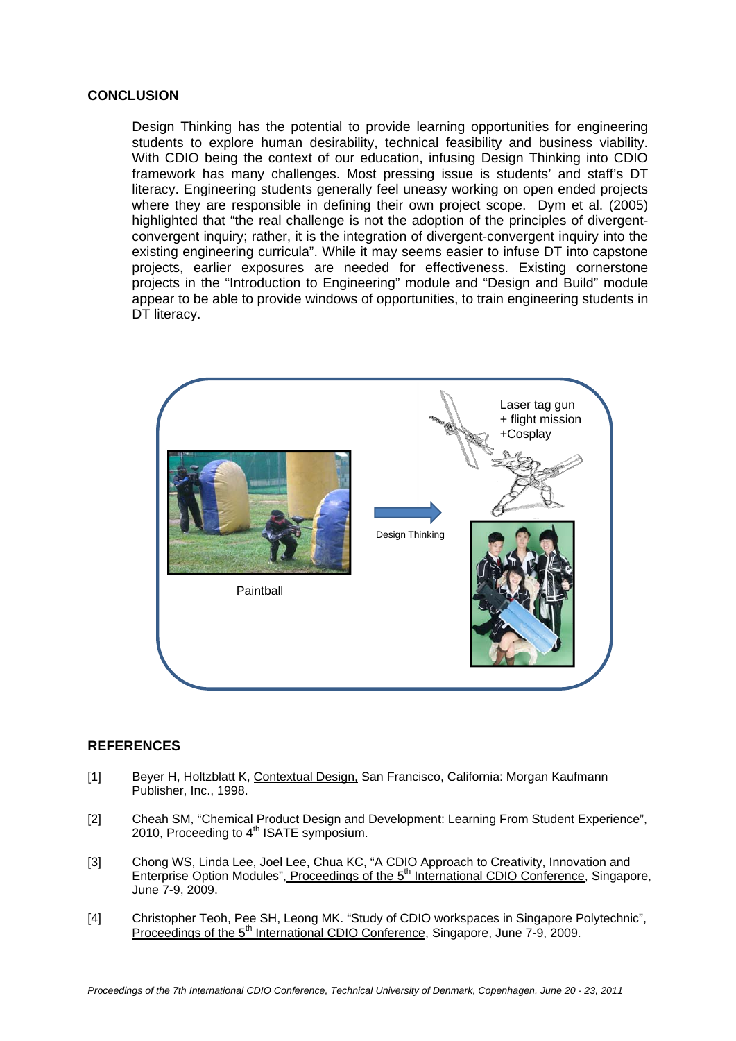#### **CONCLUSION**

Design Thinking has the potential to provide learning opportunities for engineering students to explore human desirability, technical feasibility and business viability. With CDIO being the context of our education, infusing Design Thinking into CDIO framework has many challenges. Most pressing issue is students' and staff's DT literacy. Engineering students generally feel uneasy working on open ended projects where they are responsible in defining their own project scope. Dym et al. (2005) highlighted that "the real challenge is not the adoption of the principles of divergentconvergent inquiry; rather, it is the integration of divergent-convergent inquiry into the existing engineering curricula". While it may seems easier to infuse DT into capstone projects, earlier exposures are needed for effectiveness. Existing cornerstone projects in the "Introduction to Engineering" module and "Design and Build" module appear to be able to provide windows of opportunities, to train engineering students in DT literacy.



#### **REFERENCES**

- [1] Beyer H, Holtzblatt K, Contextual Design, San Francisco, California: Morgan Kaufmann Publisher, Inc., 1998.
- [2] Cheah SM, "Chemical Product Design and Development: Learning From Student Experience", 2010, Proceeding to  $4<sup>th</sup>$  ISATE symposium.
- [3] Chong WS, Linda Lee, Joel Lee, Chua KC, "A CDIO Approach to Creativity, Innovation and Enterprise Option Modules", Proceedings of the 5<sup>th</sup> International CDIO Conference, Singapore, June 7-9, 2009.
- [4] Christopher Teoh, Pee SH, Leong MK. "Study of CDIO workspaces in Singapore Polytechnic", Proceedings of the 5<sup>th</sup> International CDIO Conference, Singapore, June 7-9, 2009.